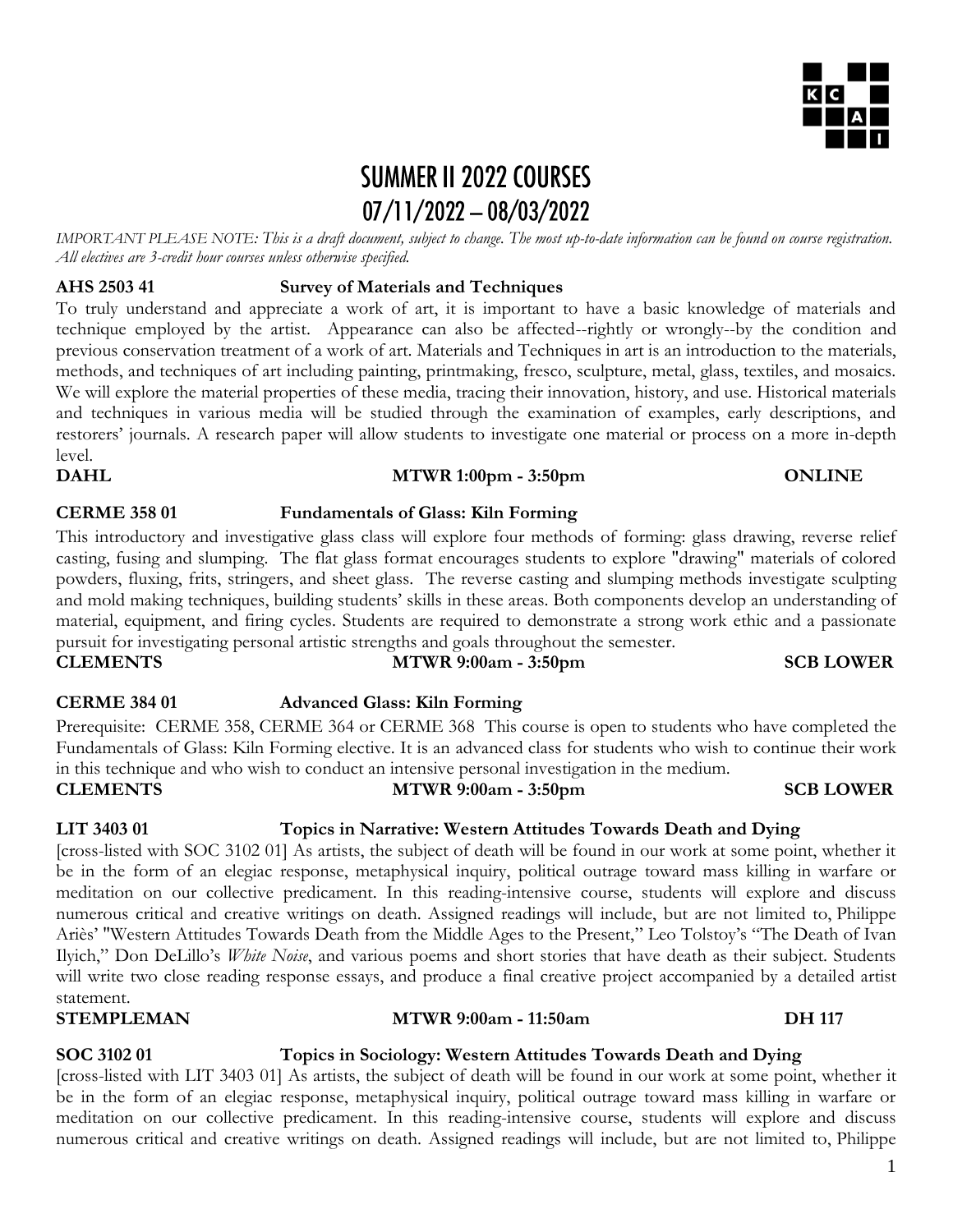## **SUMMER II 2022 COURSES**  $07/11/2022 - 08/03/2022$

*IMPORTANT PLEASE NOTE: This is a draft document, subject to change. The most up-to-date information can be found on course registration. All electives are 3-credit hour courses unless otherwise specified.* 

## **AHS 2503 41 Survey of Materials and Techniques**

To truly understand and appreciate a work of art, it is important to have a basic knowledge of materials and technique employed by the artist. Appearance can also be affected--rightly or wrongly--by the condition and previous conservation treatment of a work of art. Materials and Techniques in art is an introduction to the materials, methods, and techniques of art including painting, printmaking, fresco, sculpture, metal, glass, textiles, and mosaics. We will explore the material properties of these media, tracing their innovation, history, and use. Historical materials and techniques in various media will be studied through the examination of examples, early descriptions, and restorers' journals. A research paper will allow students to investigate one material or process on a more in-depth level.

## **DAHL MTWR 1:00pm - 3:50pm ONLINE**

### **CERME 358 01 Fundamentals of Glass: Kiln Forming**

This introductory and investigative glass class will explore four methods of forming: glass drawing, reverse relief casting, fusing and slumping. The flat glass format encourages students to explore "drawing" materials of colored powders, fluxing, frits, stringers, and sheet glass. The reverse casting and slumping methods investigate sculpting and mold making techniques, building students' skills in these areas. Both components develop an understanding of material, equipment, and firing cycles. Students are required to demonstrate a strong work ethic and a passionate pursuit for investigating personal artistic strengths and goals throughout the semester. **CLEMENTS MTWR 9:00am - 3:50pm SCB LOWER**

## **CERME 384 01 Advanced Glass: Kiln Forming**

Prerequisite: CERME 358, CERME 364 or CERME 368 This course is open to students who have completed the Fundamentals of Glass: Kiln Forming elective. It is an advanced class for students who wish to continue their work in this technique and who wish to conduct an intensive personal investigation in the medium. **CLEMENTS MTWR 9:00am - 3:50pm SCB LOWER**

## **LIT 3403 01 Topics in Narrative: Western Attitudes Towards Death and Dying**

[cross-listed with SOC 3102 01] As artists, the subject of death will be found in our work at some point, whether it be in the form of an elegiac response, metaphysical inquiry, political outrage toward mass killing in warfare or meditation on our collective predicament. In this reading-intensive course, students will explore and discuss numerous critical and creative writings on death. Assigned readings will include, but are not limited to, Philippe Ariès' "Western Attitudes Towards Death from the Middle Ages to the Present," Leo Tolstoy's "The Death of Ivan Ilyich," Don DeLillo's *White Noise*, and various poems and short stories that have death as their subject. Students will write two close reading response essays, and produce a final creative project accompanied by a detailed artist statement.

**STEMPLEMAN MTWR 9:00am - 11:50am DH 117**

#### **SOC 3102 01 Topics in Sociology: Western Attitudes Towards Death and Dying**

[cross-listed with LIT 3403 01] As artists, the subject of death will be found in our work at some point, whether it be in the form of an elegiac response, metaphysical inquiry, political outrage toward mass killing in warfare or meditation on our collective predicament. In this reading-intensive course, students will explore and discuss numerous critical and creative writings on death. Assigned readings will include, but are not limited to, Philippe

# KC